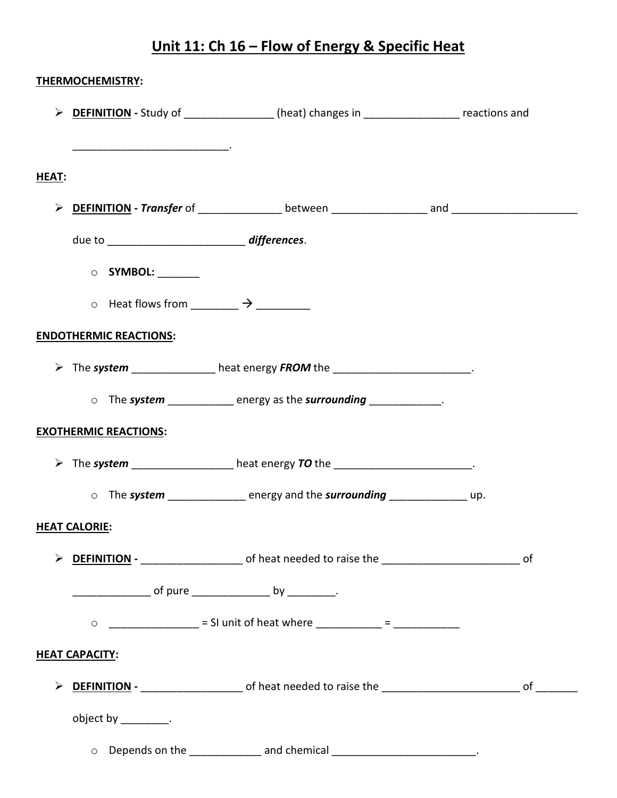## **Unit 11: Ch 16 – Flow of Energy & Specific Heat**

|                       | THERMOCHEMISTRY:                                             |                                                                                                          |  |  |
|-----------------------|--------------------------------------------------------------|----------------------------------------------------------------------------------------------------------|--|--|
|                       |                                                              | > DEFINITION - Study of _______________(heat) changes in _________________ reactions and                 |  |  |
|                       |                                                              |                                                                                                          |  |  |
| HEAT:                 |                                                              |                                                                                                          |  |  |
|                       |                                                              |                                                                                                          |  |  |
|                       |                                                              |                                                                                                          |  |  |
|                       | O SYMBOL: _______                                            |                                                                                                          |  |  |
|                       | $\circ$ Heat flows from ___________ $\rightarrow$ __________ |                                                                                                          |  |  |
|                       | <b>ENDOTHERMIC REACTIONS:</b>                                |                                                                                                          |  |  |
|                       |                                                              | > The system ______________ heat energy FROM the _______________________.                                |  |  |
|                       |                                                              | o The system ____________ energy as the surrounding ____________.                                        |  |  |
|                       | <b>EXOTHERMIC REACTIONS:</b>                                 |                                                                                                          |  |  |
|                       |                                                              | > The system _________________heat energy TO the _______________________.                                |  |  |
|                       |                                                              | o The system energy and the surrounding and the surrounding                                              |  |  |
|                       | <b>HEAT CALORIE:</b>                                         |                                                                                                          |  |  |
|                       |                                                              | > DEFINITION - __________________________ of heat needed to raise the _______________________________ of |  |  |
|                       |                                                              |                                                                                                          |  |  |
|                       |                                                              | 0 ________________ = SI unit of heat where ___________ = _____________                                   |  |  |
| <b>HEAT CAPACITY:</b> |                                                              |                                                                                                          |  |  |
|                       |                                                              |                                                                                                          |  |  |
|                       | object by __________.                                        |                                                                                                          |  |  |
|                       |                                                              | O Depends on the _______________ and chemical _________________________________.                         |  |  |